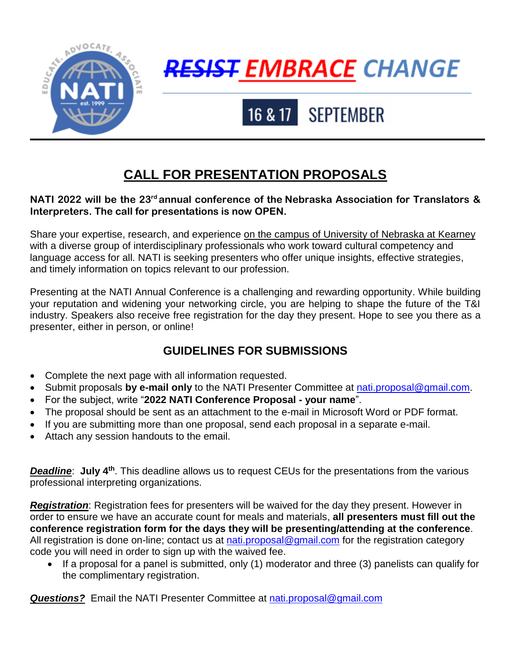

# <del>RESIST</del> EMBRACE CHANGE

# 16 & 17 SEPTEMBER

## **CALL FOR PRESENTATION PROPOSALS**

#### **NATI 2022 will be the 23<sup>rd</sup> annual conference of the Nebraska Association for Translators & Interpreters. The call for presentations is now OPEN.**

Share your expertise, research, and experience on the campus of University of Nebraska at Kearney with a diverse group of interdisciplinary professionals who work toward cultural competency and language access for all. NATI is seeking presenters who offer unique insights, effective strategies, and timely information on topics relevant to our profession.

Presenting at the NATI Annual Conference is a challenging and rewarding opportunity. While building your reputation and widening your networking circle, you are helping to shape the future of the T&I industry. Speakers also receive free registration for the day they present. Hope to see you there as a presenter, either in person, or online!

### **GUIDELINES FOR SUBMISSIONS**

- Complete the next page with all information requested.
- Submit proposals by e-mail only to the NATI Presenter Committee at [nati.proposal@gmail.com](mailto:nati.proposal@gmail.com).
- For the subject, write "**2022 NATI Conference Proposal - your name**".
- The proposal should be sent as an attachment to the e-mail in Microsoft Word or PDF format.
- If you are submitting more than one proposal, send each proposal in a separate e-mail.
- Attach any session handouts to the email.

**Deadline**: July 4<sup>th</sup>. This deadline allows us to request CEUs for the presentations from the various professional interpreting organizations.

*Registration*: Registration fees for presenters will be waived for the day they present. However in order to ensure we have an accurate count for meals and materials, **all presenters must fill out the conference registration form for the days they will be presenting/attending at the conference**. All registration is done on-line; contact us at [nati.proposal@gmail.com](mailto:nati.proposal@gmail.com) for the registration category code you will need in order to sign up with the waived fee.

 $\bullet$  If a proposal for a panel is submitted, only (1) moderator and three (3) panelists can qualify for the complimentary registration.

**Questions?** Email the NATI Presenter Committee at [nati.proposal@gmail.com](mailto:nati.proposal@gmail.com)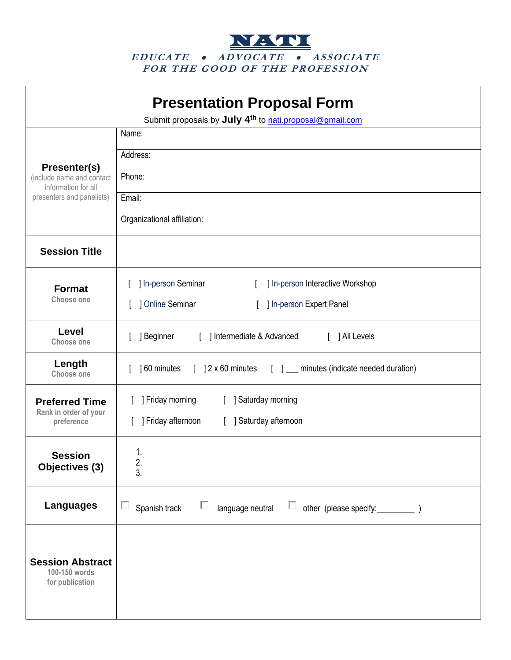NATIO **<sup>E</sup> <sup>D</sup> UCATE AD VO CATE <sup>A</sup> SS OC IATE FO R T HE <sup>G</sup> OO D O F T HE PRO FE SS IO <sup>N</sup>**

| <b>Presentation Proposal Form</b><br>Submit proposals by July 4 <sup>th</sup> to nati.proposal@gmail.com |                                                                             |
|----------------------------------------------------------------------------------------------------------|-----------------------------------------------------------------------------|
| <b>Presenter(s)</b><br>(include name and contact<br>information for all<br>presenters and panelists)     | Name:                                                                       |
|                                                                                                          | Address:                                                                    |
|                                                                                                          | Phone:                                                                      |
|                                                                                                          | Email:                                                                      |
|                                                                                                          | Organizational affiliation:                                                 |
| <b>Session Title</b>                                                                                     |                                                                             |
| <b>Format</b><br>Choose one                                                                              | ] In-person Seminar<br>] In-person Interactive Workshop                     |
|                                                                                                          | ] Online Seminar<br>] In-person Expert Panel                                |
| Level<br><b>Choose one</b>                                                                               | ] Beginner<br>[ ] Intermediate & Advanced<br>[ ] All Levels                 |
| Length<br>Choose one                                                                                     | [ ] 2 x 60 minutes [ ] __ minutes (indicate needed duration)<br>160 minutes |
| <b>Preferred Time</b>                                                                                    | ] Friday morning<br>[ ] Saturday morning                                    |
| Rank in order of your<br>preference                                                                      | ] Friday afternoon<br>[ ] Saturday afternoon                                |
| <b>Session</b><br>Objectives (3)                                                                         | 1.                                                                          |
|                                                                                                          | 2.<br>3.                                                                    |
| <b>Languages</b>                                                                                         | Е<br>Е<br>Spanish track<br>$\Box$<br>language neutral                       |
| <b>Session Abstract</b><br>100-150 words<br>for publication                                              |                                                                             |